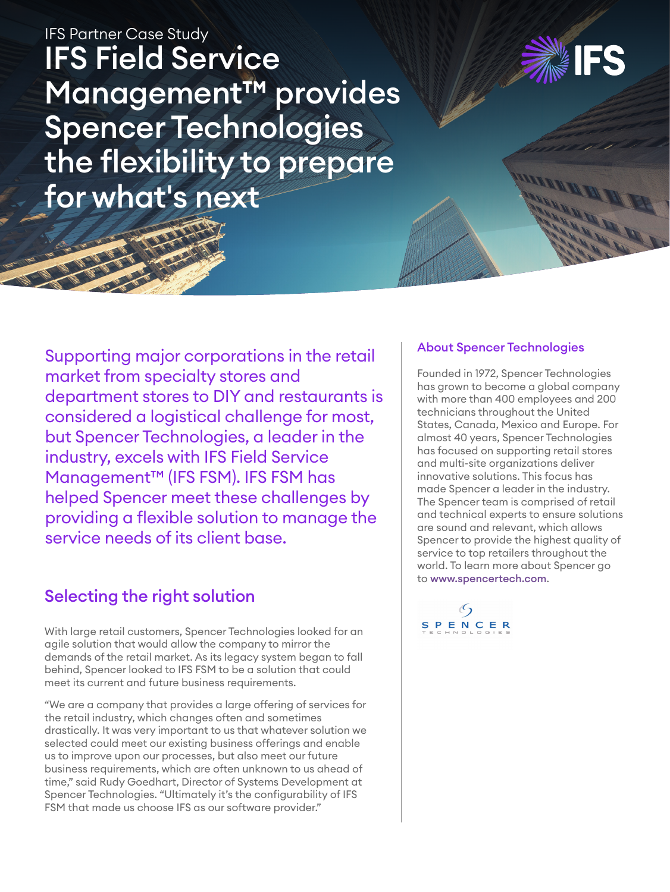IFS Field Service Management™ provides Spencer Technologies the flexibility to prepare for what's next IFS Partner Case Study



Supporting major corporations in the retail About Spencer Technologies market from specialty stores and department stores to DIY and restaurants is considered a logistical challenge for most, but Spencer Technologies, a leader in the industry, excels with IFS Field Service Management<sup>™</sup> (IFS FSM). IFS FSM has helped Spencer meet these challenges by providing a flexible solution to manage the service needs of its client base.

## Selecting the right solution

With large retail customers, Spencer Technologies looked for an agile solution that would allow the company to mirror the demands of the retail market. As its legacy system began to fall behind, Spencer looked to IFS FSM to be a solution that could meet its current and future business requirements.

"We are a company that provides a large offering of services for the retail industry, which changes often and sometimes drastically. It was very important to us that whatever solution we selected could meet our existing business offerings and enable us to improve upon our processes, but also meet our future business requirements, which are often unknown to us ahead of time," said Rudy Goedhart, Director of Systems Development at Spencer Technologies. "Ultimately it's the configurability of IFS FSM that made us choose IFS as our software provider."

Founded in 1972, Spencer Technologies has grown to become a global company with more than 400 employees and 200 technicians throughout the United States, Canada, Mexico and Europe. For almost 40 years, Spencer Technologies has focused on supporting retail stores and multi-site organizations deliver innovative solutions. This focus has made Spencer a leader in the industry. The Spencer team is comprised of retail and technical experts to ensure solutions are sound and relevant, which allows Spencer to provide the highest quality of service to top retailers throughout the world. To learn more about Spencer go to www.spencertech.com.

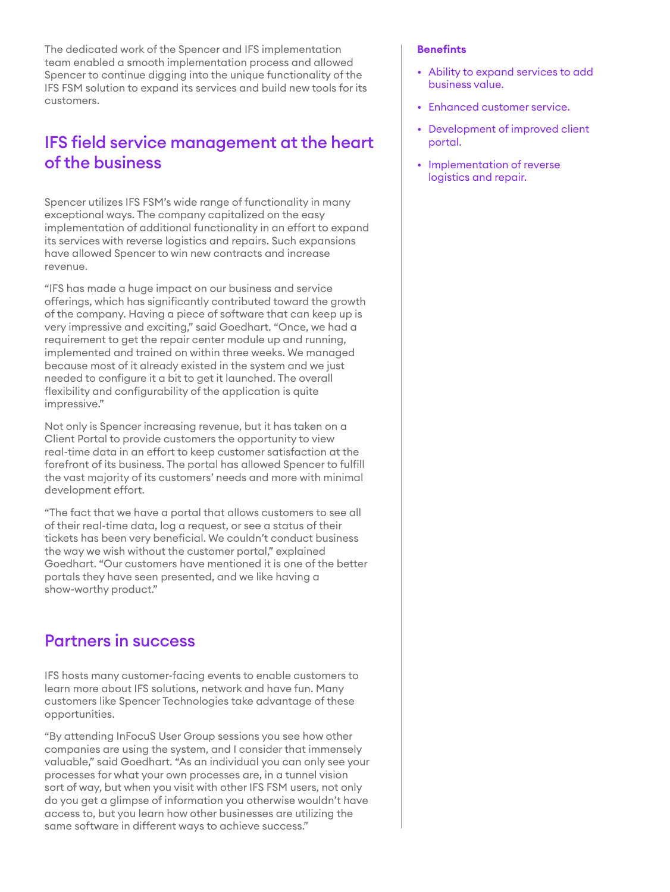The dedicated work of the Spencer and IFS implementation team enabled a smooth implementation process and allowed Spencer to continue digging into the unique functionality of the IFS FSM solution to expand its services and build new tools for its customers.

# IFS field service management at the heart of the business

Spencer utilizes IFS FSM's wide range of functionality in many exceptional ways. The company capitalized on the easy implementation of additional functionality in an effort to expand its services with reverse logistics and repairs. Such expansions have allowed Spencer to win new contracts and increase revenue.

"IFS has made a huge impact on our business and service offerings, which has significantly contributed toward the growth of the company. Having a piece of software that can keep up is very impressive and exciting," said Goedhart. "Once, we had a requirement to get the repair center module up and running, implemented and trained on within three weeks. We managed because most of it already existed in the system and we just needed to configure it a bit to get it launched. The overall flexibility and configurability of the application is quite impressive."

Not only is Spencer increasing revenue, but it has taken on a Client Portal to provide customers the opportunity to view real-time data in an effort to keep customer satisfaction at the forefront of its business. The portal has allowed Spencer to fulfill the vast majority of its customers' needs and more with minimal development effort.

"The fact that we have a portal that allows customers to see all of their real-time data, log a request, or see a status of their tickets has been very beneficial. We couldn't conduct business the way we wish without the customer portal," explained Goedhart. "Our customers have mentioned it is one of the better portals they have seen presented, and we like having a show-worthy product."

### Partners in success

IFS hosts many customer-facing events to enable customers to learn more about IFS solutions, network and have fun. Many customers like Spencer Technologies take advantage of these opportunities.

"By attending InFocuS User Group sessions you see how other companies are using the system, and I consider that immensely valuable," said Goedhart. "As an individual you can only see your processes for what your own processes are, in a tunnel vision sort of way, but when you visit with other IFS FSM users, not only do you get a glimpse of information you otherwise wouldn't have access to, but you learn how other businesses are utilizing the same software in different ways to achieve success."

#### **Benefints**

- Ability to expand services to add business value.
- Enhanced customer service.
- Development of improved client portal.
- Implementation of reverse logistics and repair.